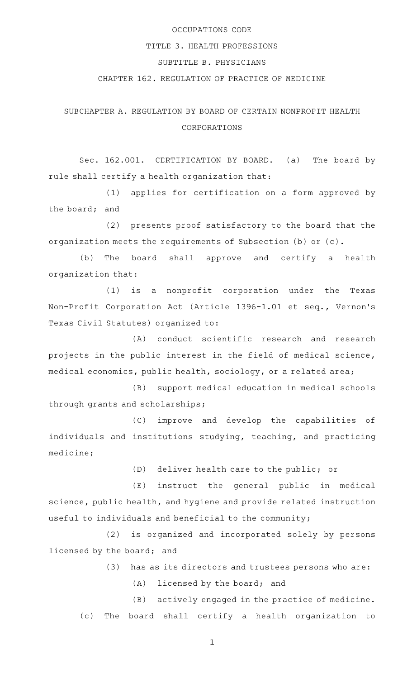## OCCUPATIONS CODE

## TITLE 3. HEALTH PROFESSIONS

# SUBTITLE B. PHYSICIANS

## CHAPTER 162. REGULATION OF PRACTICE OF MEDICINE

# SUBCHAPTER A. REGULATION BY BOARD OF CERTAIN NONPROFIT HEALTH CORPORATIONS

Sec. 162.001. CERTIFICATION BY BOARD. (a) The board by rule shall certify a health organization that:

(1) applies for certification on a form approved by the board; and

(2) presents proof satisfactory to the board that the organization meets the requirements of Subsection (b) or (c).

(b) The board shall approve and certify a health organization that:

(1) is a nonprofit corporation under the Texas Non-Profit Corporation Act (Article 1396-1.01 et seq., Vernon 's Texas Civil Statutes) organized to:

(A) conduct scientific research and research projects in the public interest in the field of medical science, medical economics, public health, sociology, or a related area;

(B) support medical education in medical schools through grants and scholarships;

(C) improve and develop the capabilities of individuals and institutions studying, teaching, and practicing medicine;

(D) deliver health care to the public; or

 $(E)$  instruct the general public in medical science, public health, and hygiene and provide related instruction useful to individuals and beneficial to the community;

(2) is organized and incorporated solely by persons licensed by the board; and

- (3) has as its directors and trustees persons who are:
	- $(A)$  licensed by the board; and

(B) actively engaged in the practice of medicine. (c) The board shall certify a health organization to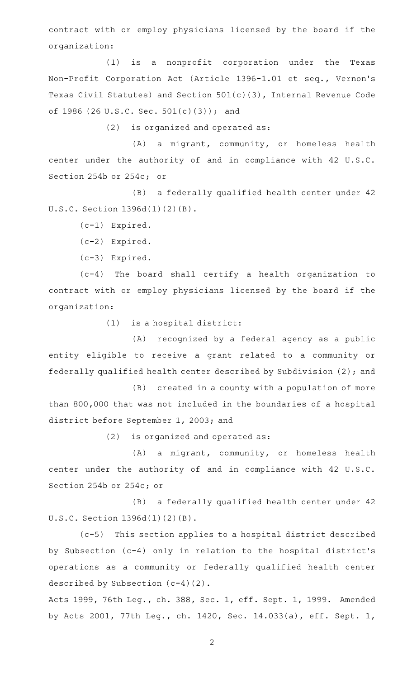contract with or employ physicians licensed by the board if the organization:

(1) is a nonprofit corporation under the Texas Non-Profit Corporation Act (Article 1396-1.01 et seq., Vernon 's Texas Civil Statutes) and Section 501(c)(3), Internal Revenue Code of 1986 (26 U.S.C. Sec. 501(c)(3)); and

 $(2)$  is organized and operated as:

(A) a migrant, community, or homeless health center under the authority of and in compliance with 42 U.S.C. Section 254b or 254c; or

(B) a federally qualified health center under 42 U.S.C. Section 1396d(l)(2)(B).

(c-1) Expired.

(c-2) Expired.

(c-3) Expired.

 $(c-4)$  The board shall certify a health organization to contract with or employ physicians licensed by the board if the organization:

 $(1)$  is a hospital district:

(A) recognized by a federal agency as a public entity eligible to receive a grant related to a community or federally qualified health center described by Subdivision (2); and

(B) created in a county with a population of more than 800,000 that was not included in the boundaries of a hospital district before September 1, 2003; and

 $(2)$  is organized and operated as:

 $(A)$  a migrant, community, or homeless health center under the authority of and in compliance with 42 U.S.C. Section 254b or 254c; or

(B) a federally qualified health center under 42 U.S.C. Section 1396d(l)(2)(B).

(c-5) This section applies to a hospital district described by Subsection (c-4) only in relation to the hospital district 's operations as a community or federally qualified health center described by Subsection (c-4)(2).

Acts 1999, 76th Leg., ch. 388, Sec. 1, eff. Sept. 1, 1999. Amended by Acts 2001, 77th Leg., ch. 1420, Sec. 14.033(a), eff. Sept. 1,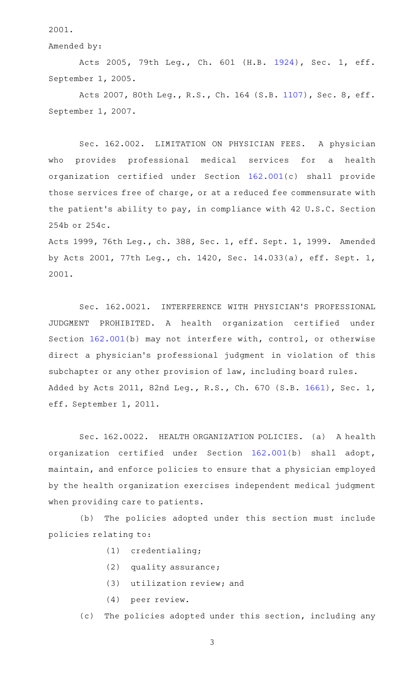2001.

Amended by:

Acts 2005, 79th Leg., Ch. 601 (H.B. [1924](http://www.legis.state.tx.us/tlodocs/79R/billtext/html/HB01924F.HTM)), Sec. 1, eff. September 1, 2005.

Acts 2007, 80th Leg., R.S., Ch. 164 (S.B. [1107](http://www.legis.state.tx.us/tlodocs/80R/billtext/html/SB01107F.HTM)), Sec. 8, eff. September 1, 2007.

Sec. 162.002. LIMITATION ON PHYSICIAN FEES. A physician who provides professional medical services for a health organization certified under Section [162.001](http://www.statutes.legis.state.tx.us/GetStatute.aspx?Code=OC&Value=162.001)(c) shall provide those services free of charge, or at a reduced fee commensurate with the patient 's ability to pay, in compliance with 42 U.S.C. Section 254b or 254c.

Acts 1999, 76th Leg., ch. 388, Sec. 1, eff. Sept. 1, 1999. Amended by Acts 2001, 77th Leg., ch. 1420, Sec. 14.033(a), eff. Sept. 1, 2001.

Sec. 162.0021. INTERFERENCE WITH PHYSICIAN'S PROFESSIONAL JUDGMENT PROHIBITED.AAA health organization certified under Section [162.001\(](http://www.statutes.legis.state.tx.us/GetStatute.aspx?Code=OC&Value=162.001)b) may not interfere with, control, or otherwise direct a physician 's professional judgment in violation of this subchapter or any other provision of law, including board rules. Added by Acts 2011, 82nd Leg., R.S., Ch. 670 (S.B. [1661](http://www.legis.state.tx.us/tlodocs/82R/billtext/html/SB01661F.HTM)), Sec. 1, eff. September 1, 2011.

Sec. 162.0022. HEALTH ORGANIZATION POLICIES. (a) A health organization certified under Section [162.001](http://www.statutes.legis.state.tx.us/GetStatute.aspx?Code=OC&Value=162.001)(b) shall adopt, maintain, and enforce policies to ensure that a physician employed by the health organization exercises independent medical judgment when providing care to patients.

(b) The policies adopted under this section must include policies relating to:

- (1) credentialing;
- $(2)$  quality assurance;
- $(3)$  utilization review; and
- (4) peer review.
- (c) The policies adopted under this section, including any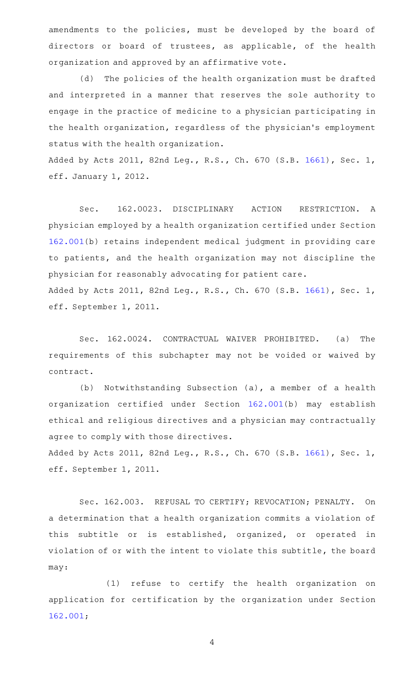amendments to the policies, must be developed by the board of directors or board of trustees, as applicable, of the health organization and approved by an affirmative vote.

(d) The policies of the health organization must be drafted and interpreted in a manner that reserves the sole authority to engage in the practice of medicine to a physician participating in the health organization, regardless of the physician 's employment status with the health organization.

Added by Acts 2011, 82nd Leg., R.S., Ch. 670 (S.B. [1661](http://www.legis.state.tx.us/tlodocs/82R/billtext/html/SB01661F.HTM)), Sec. 1, eff. January 1, 2012.

Sec. 162.0023. DISCIPLINARY ACTION RESTRICTION. A physician employed by a health organization certified under Section [162.001\(](http://www.statutes.legis.state.tx.us/GetStatute.aspx?Code=OC&Value=162.001)b) retains independent medical judgment in providing care to patients, and the health organization may not discipline the physician for reasonably advocating for patient care. Added by Acts 2011, 82nd Leg., R.S., Ch. 670 (S.B. [1661](http://www.legis.state.tx.us/tlodocs/82R/billtext/html/SB01661F.HTM)), Sec. 1, eff. September 1, 2011.

Sec. 162.0024. CONTRACTUAL WAIVER PROHIBITED. (a) The requirements of this subchapter may not be voided or waived by contract.

(b) Notwithstanding Subsection (a), a member of a health organization certified under Section [162.001](http://www.statutes.legis.state.tx.us/GetStatute.aspx?Code=OC&Value=162.001)(b) may establish ethical and religious directives and a physician may contractually agree to comply with those directives.

Added by Acts 2011, 82nd Leg., R.S., Ch. 670 (S.B. [1661](http://www.legis.state.tx.us/tlodocs/82R/billtext/html/SB01661F.HTM)), Sec. 1, eff. September 1, 2011.

Sec. 162.003. REFUSAL TO CERTIFY; REVOCATION; PENALTY. On a determination that a health organization commits a violation of this subtitle or is established, organized, or operated in violation of or with the intent to violate this subtitle, the board may:

(1) refuse to certify the health organization on application for certification by the organization under Section [162.001;](http://www.statutes.legis.state.tx.us/GetStatute.aspx?Code=OC&Value=162.001)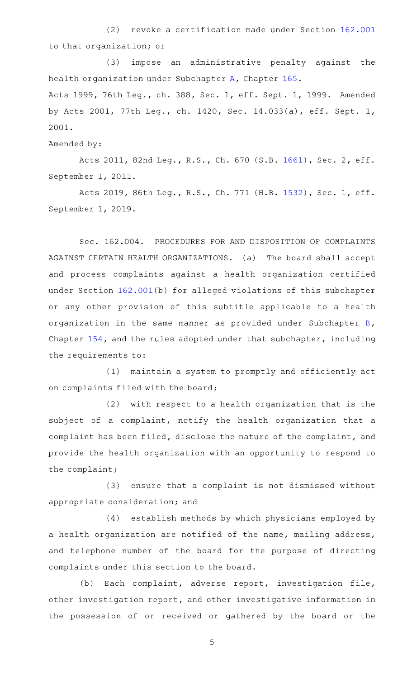(2) revoke a certification made under Section [162.001](http://www.statutes.legis.state.tx.us/GetStatute.aspx?Code=OC&Value=162.001) to that organization; or

(3) impose an administrative penalty against the health organization under Subchapter [A,](http://www.statutes.legis.state.tx.us/GetStatute.aspx?Code=OC&Value=165.001) Chapter [165.](http://www.statutes.legis.state.tx.us/GetStatute.aspx?Code=OC&Value=165) Acts 1999, 76th Leg., ch. 388, Sec. 1, eff. Sept. 1, 1999. Amended by Acts 2001, 77th Leg., ch. 1420, Sec. 14.033(a), eff. Sept. 1, 2001.

Amended by:

Acts 2011, 82nd Leg., R.S., Ch. 670 (S.B. [1661](http://www.legis.state.tx.us/tlodocs/82R/billtext/html/SB01661F.HTM)), Sec. 2, eff. September 1, 2011.

Acts 2019, 86th Leg., R.S., Ch. 771 (H.B. [1532](http://www.legis.state.tx.us/tlodocs/86R/billtext/html/HB01532F.HTM)), Sec. 1, eff. September 1, 2019.

Sec. 162.004. PROCEDURES FOR AND DISPOSITION OF COMPLAINTS AGAINST CERTAIN HEALTH ORGANIZATIONS. (a) The board shall accept and process complaints against a health organization certified under Section [162.001](http://www.statutes.legis.state.tx.us/GetStatute.aspx?Code=OC&Value=162.001)(b) for alleged violations of this subchapter or any other provision of this subtitle applicable to a health organization in the same manner as provided under Subchapter [B](http://www.statutes.legis.state.tx.us/GetStatute.aspx?Code=OC&Value=154.051), Chapter [154,](http://www.statutes.legis.state.tx.us/GetStatute.aspx?Code=OC&Value=154) and the rules adopted under that subchapter, including the requirements to:

(1) maintain a system to promptly and efficiently act on complaints filed with the board;

 $(2)$  with respect to a health organization that is the subject of a complaint, notify the health organization that a complaint has been filed, disclose the nature of the complaint, and provide the health organization with an opportunity to respond to the complaint;

(3) ensure that a complaint is not dismissed without appropriate consideration; and

(4) establish methods by which physicians employed by a health organization are notified of the name, mailing address, and telephone number of the board for the purpose of directing complaints under this section to the board.

(b) Each complaint, adverse report, investigation file, other investigation report, and other investigative information in the possession of or received or gathered by the board or the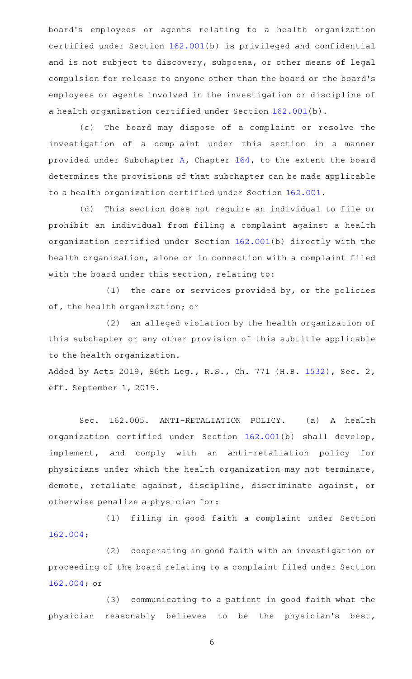board 's employees or agents relating to a health organization certified under Section [162.001\(](http://www.statutes.legis.state.tx.us/GetStatute.aspx?Code=OC&Value=162.001)b) is privileged and confidential and is not subject to discovery, subpoena, or other means of legal compulsion for release to anyone other than the board or the board 's employees or agents involved in the investigation or discipline of a health organization certified under Section [162.001\(](http://www.statutes.legis.state.tx.us/GetStatute.aspx?Code=OC&Value=162.001)b).

(c) The board may dispose of a complaint or resolve the investigation of a complaint under this section in a manner provided under Subchapter [A](http://www.statutes.legis.state.tx.us/GetStatute.aspx?Code=OC&Value=164.001), Chapter [164,](http://www.statutes.legis.state.tx.us/GetStatute.aspx?Code=OC&Value=164) to the extent the board determines the provisions of that subchapter can be made applicable to a health organization certified under Section [162.001](http://www.statutes.legis.state.tx.us/GetStatute.aspx?Code=OC&Value=162.001).

(d) This section does not require an individual to file or prohibit an individual from filing a complaint against a health organization certified under Section [162.001](http://www.statutes.legis.state.tx.us/GetStatute.aspx?Code=OC&Value=162.001)(b) directly with the health organization, alone or in connection with a complaint filed with the board under this section, relating to:

(1) the care or services provided by, or the policies of, the health organization; or

(2) an alleged violation by the health organization of this subchapter or any other provision of this subtitle applicable to the health organization.

Added by Acts 2019, 86th Leg., R.S., Ch. 771 (H.B. [1532](http://www.legis.state.tx.us/tlodocs/86R/billtext/html/HB01532F.HTM)), Sec. 2, eff. September 1, 2019.

Sec. 162.005. ANTI-RETALIATION POLICY. (a) A health organization certified under Section [162.001](http://www.statutes.legis.state.tx.us/GetStatute.aspx?Code=OC&Value=162.001)(b) shall develop, implement, and comply with an anti-retaliation policy for physicians under which the health organization may not terminate, demote, retaliate against, discipline, discriminate against, or otherwise penalize a physician for:

(1) filing in good faith a complaint under Section [162.004;](http://www.statutes.legis.state.tx.us/GetStatute.aspx?Code=OC&Value=162.004)

(2) cooperating in good faith with an investigation or proceeding of the board relating to a complaint filed under Section [162.004;](http://www.statutes.legis.state.tx.us/GetStatute.aspx?Code=OC&Value=162.004) or

(3) communicating to a patient in good faith what the physician reasonably believes to be the physician's best,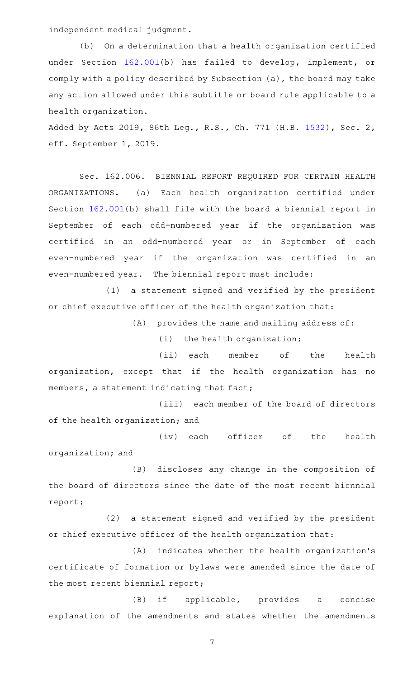independent medical judgment.

(b) On a determination that a health organization certified under Section [162.001\(](http://www.statutes.legis.state.tx.us/GetStatute.aspx?Code=OC&Value=162.001)b) has failed to develop, implement, or comply with a policy described by Subsection (a), the board may take any action allowed under this subtitle or board rule applicable to a health organization.

Added by Acts 2019, 86th Leg., R.S., Ch. 771 (H.B. [1532](http://www.legis.state.tx.us/tlodocs/86R/billtext/html/HB01532F.HTM)), Sec. 2, eff. September 1, 2019.

Sec. 162.006. BIENNIAL REPORT REQUIRED FOR CERTAIN HEALTH ORGANIZATIONS. (a) Each health organization certified under Section [162.001\(](http://www.statutes.legis.state.tx.us/GetStatute.aspx?Code=OC&Value=162.001)b) shall file with the board a biennial report in September of each odd-numbered year if the organization was certified in an odd-numbered year or in September of each even-numbered year if the organization was certified in an even-numbered year. The biennial report must include:

(1) a statement signed and verified by the president or chief executive officer of the health organization that:

 $(A)$  provides the name and mailing address of:

 $(i)$  the health organization;

(ii) each member of the health organization, except that if the health organization has no members, a statement indicating that fact;

(iii) each member of the board of directors of the health organization; and

(iv) each officer of the health organization; and

(B) discloses any change in the composition of the board of directors since the date of the most recent biennial report;

 $(2)$  a statement signed and verified by the president or chief executive officer of the health organization that:

(A) indicates whether the health organization's certificate of formation or bylaws were amended since the date of the most recent biennial report;

(B) if applicable, provides a concise explanation of the amendments and states whether the amendments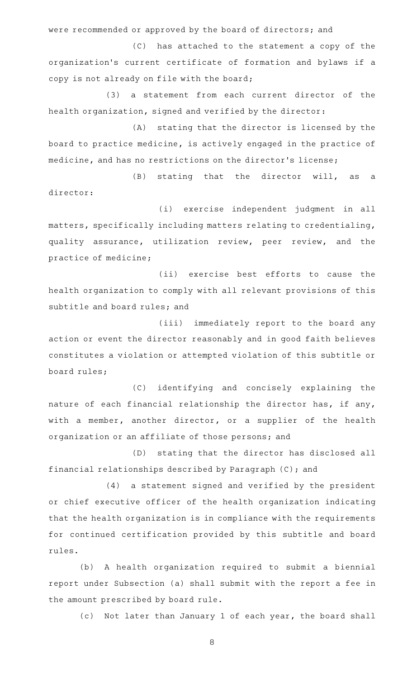were recommended or approved by the board of directors; and

(C) has attached to the statement a copy of the organization 's current certificate of formation and bylaws if a copy is not already on file with the board;

(3) a statement from each current director of the health organization, signed and verified by the director:

(A) stating that the director is licensed by the board to practice medicine, is actively engaged in the practice of medicine, and has no restrictions on the director 's license;

(B) stating that the director will, as a director:

(i) exercise independent judgment in all matters, specifically including matters relating to credentialing, quality assurance, utilization review, peer review, and the practice of medicine;

(ii) exercise best efforts to cause the health organization to comply with all relevant provisions of this subtitle and board rules; and

(iii) immediately report to the board any action or event the director reasonably and in good faith believes constitutes a violation or attempted violation of this subtitle or board rules;

(C) identifying and concisely explaining the nature of each financial relationship the director has, if any, with a member, another director, or a supplier of the health organization or an affiliate of those persons; and

(D) stating that the director has disclosed all financial relationships described by Paragraph (C); and

(4) a statement signed and verified by the president or chief executive officer of the health organization indicating that the health organization is in compliance with the requirements for continued certification provided by this subtitle and board rules.

(b) A health organization required to submit a biennial report under Subsection (a) shall submit with the report a fee in the amount prescribed by board rule.

(c) Not later than January 1 of each year, the board shall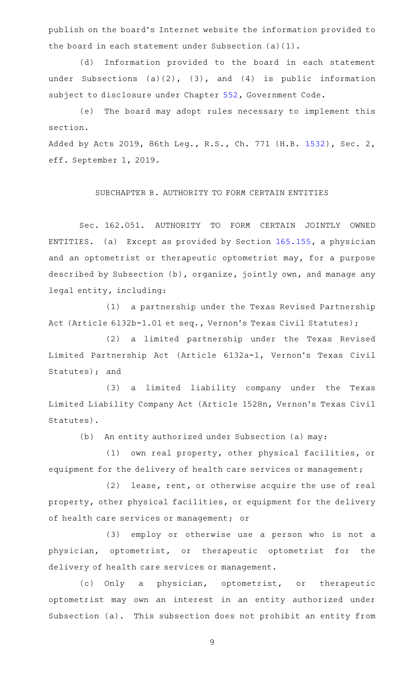publish on the board 's Internet website the information provided to the board in each statement under Subsection (a)(1).

(d) Information provided to the board in each statement under Subsections (a)(2), (3), and (4) is public information subject to disclosure under Chapter [552,](http://www.statutes.legis.state.tx.us/GetStatute.aspx?Code=GV&Value=552) Government Code.

(e) The board may adopt rules necessary to implement this section.

Added by Acts 2019, 86th Leg., R.S., Ch. 771 (H.B. [1532](http://www.legis.state.tx.us/tlodocs/86R/billtext/html/HB01532F.HTM)), Sec. 2, eff. September 1, 2019.

SUBCHAPTER B. AUTHORITY TO FORM CERTAIN ENTITIES

Sec. 162.051. AUTHORITY TO FORM CERTAIN JOINTLY OWNED ENTITIES. (a) Except as provided by Section [165.155](http://www.statutes.legis.state.tx.us/GetStatute.aspx?Code=OC&Value=165.155), a physician and an optometrist or therapeutic optometrist may, for a purpose described by Subsection (b), organize, jointly own, and manage any legal entity, including:

(1) a partnership under the Texas Revised Partnership Act (Article 6132b-1.01 et seq., Vernon 's Texas Civil Statutes);

(2) a limited partnership under the Texas Revised Limited Partnership Act (Article 6132a-1, Vernon's Texas Civil Statutes); and

(3) a limited liability company under the Texas Limited Liability Company Act (Article 1528n, Vernon 's Texas Civil Statutes).

(b) An entity authorized under Subsection (a) may:

(1) own real property, other physical facilities, or equipment for the delivery of health care services or management;

 $(2)$  lease, rent, or otherwise acquire the use of real property, other physical facilities, or equipment for the delivery of health care services or management; or

(3) employ or otherwise use a person who is not a physician, optometrist, or therapeutic optometrist for the delivery of health care services or management.

(c) Only a physician, optometrist, or therapeutic optometrist may own an interest in an entity authorized under Subsection (a). This subsection does not prohibit an entity from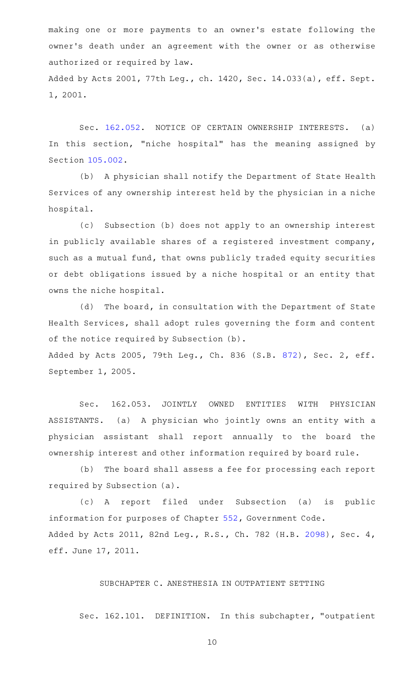making one or more payments to an owner 's estate following the owner 's death under an agreement with the owner or as otherwise authorized or required by law. Added by Acts 2001, 77th Leg., ch. 1420, Sec. 14.033(a), eff. Sept. 1, 2001.

Sec. [162.052.](http://www.statutes.legis.state.tx.us/GetStatute.aspx?Code=OC&Value=162.052) NOTICE OF CERTAIN OWNERSHIP INTERESTS. (a) In this section, "niche hospital" has the meaning assigned by Section [105.002.](http://www.statutes.legis.state.tx.us/GetStatute.aspx?Code=OC&Value=105.002)

(b) A physician shall notify the Department of State Health Services of any ownership interest held by the physician in a niche hospital.

(c) Subsection (b) does not apply to an ownership interest in publicly available shares of a registered investment company, such as a mutual fund, that owns publicly traded equity securities or debt obligations issued by a niche hospital or an entity that owns the niche hospital.

(d) The board, in consultation with the Department of State Health Services, shall adopt rules governing the form and content of the notice required by Subsection (b).

Added by Acts 2005, 79th Leg., Ch. 836 (S.B. [872](http://www.legis.state.tx.us/tlodocs/79R/billtext/html/SB00872F.HTM)), Sec. 2, eff. September 1, 2005.

Sec. 162.053. JOINTLY OWNED ENTITIES WITH PHYSICIAN ASSISTANTS. (a) A physician who jointly owns an entity with a physician assistant shall report annually to the board the ownership interest and other information required by board rule.

(b) The board shall assess a fee for processing each report required by Subsection (a).

(c)AAA report filed under Subsection (a) is public information for purposes of Chapter [552,](http://www.statutes.legis.state.tx.us/GetStatute.aspx?Code=GV&Value=552) Government Code. Added by Acts 2011, 82nd Leg., R.S., Ch. 782 (H.B. [2098](http://www.legis.state.tx.us/tlodocs/82R/billtext/html/HB02098F.HTM)), Sec. 4, eff. June 17, 2011.

## SUBCHAPTER C. ANESTHESIA IN OUTPATIENT SETTING

Sec. 162.101. DEFINITION. In this subchapter, "outpatient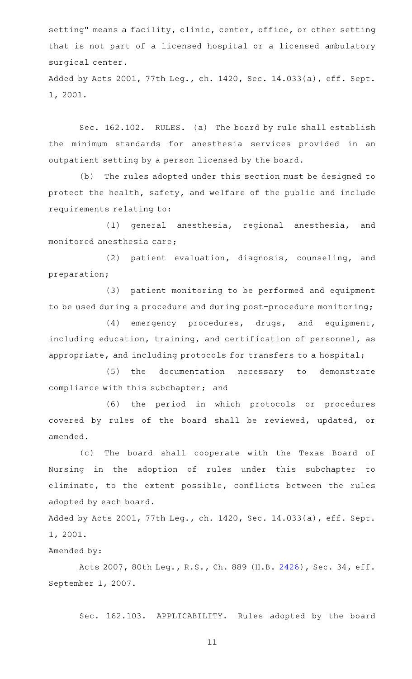setting" means a facility, clinic, center, office, or other setting that is not part of a licensed hospital or a licensed ambulatory surgical center. Added by Acts 2001, 77th Leg., ch. 1420, Sec. 14.033(a), eff. Sept. 1, 2001.

Sec. 162.102. RULES. (a) The board by rule shall establish the minimum standards for anesthesia services provided in an outpatient setting by a person licensed by the board.

(b) The rules adopted under this section must be designed to protect the health, safety, and welfare of the public and include requirements relating to:

(1) general anesthesia, regional anesthesia, and monitored anesthesia care;

(2) patient evaluation, diagnosis, counseling, and preparation;

(3) patient monitoring to be performed and equipment to be used during a procedure and during post-procedure monitoring;

(4) emergency procedures, drugs, and equipment, including education, training, and certification of personnel, as appropriate, and including protocols for transfers to a hospital;

(5) the documentation necessary to demonstrate compliance with this subchapter; and

(6) the period in which protocols or procedures covered by rules of the board shall be reviewed, updated, or amended.

(c) The board shall cooperate with the Texas Board of Nursing in the adoption of rules under this subchapter to eliminate, to the extent possible, conflicts between the rules adopted by each board.

Added by Acts 2001, 77th Leg., ch. 1420, Sec. 14.033(a), eff. Sept. 1, 2001.

# Amended by:

Acts 2007, 80th Leg., R.S., Ch. 889 (H.B. [2426\)](http://www.legis.state.tx.us/tlodocs/80R/billtext/html/HB02426F.HTM), Sec. 34, eff. September 1, 2007.

Sec. 162.103. APPLICABILITY. Rules adopted by the board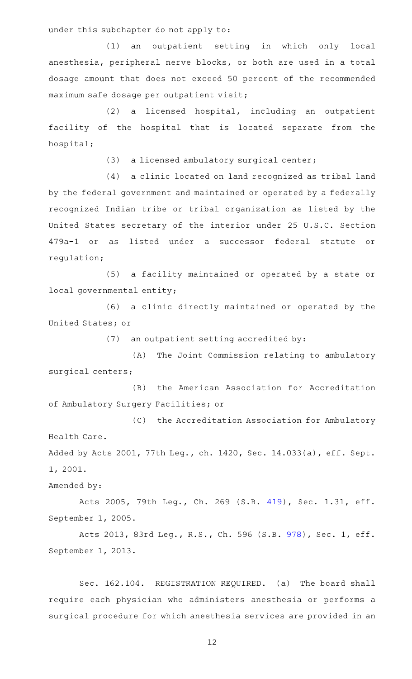under this subchapter do not apply to:

(1) an outpatient setting in which only local anesthesia, peripheral nerve blocks, or both are used in a total dosage amount that does not exceed 50 percent of the recommended maximum safe dosage per outpatient visit;

(2) a licensed hospital, including an outpatient facility of the hospital that is located separate from the hospital;

(3) a licensed ambulatory surgical center;

(4) a clinic located on land recognized as tribal land by the federal government and maintained or operated by a federally recognized Indian tribe or tribal organization as listed by the United States secretary of the interior under 25 U.S.C. Section 479a-1 or as listed under a successor federal statute or regulation;

(5) a facility maintained or operated by a state or local governmental entity;

(6) a clinic directly maintained or operated by the United States; or

(7) an outpatient setting accredited by:

(A) The Joint Commission relating to ambulatory surgical centers;

(B) the American Association for Accreditation of Ambulatory Surgery Facilities; or

(C) the Accreditation Association for Ambulatory Health Care.

Added by Acts 2001, 77th Leg., ch. 1420, Sec. 14.033(a), eff. Sept. 1, 2001.

Amended by:

Acts 2005, 79th Leg., Ch. 269 (S.B. [419](http://www.legis.state.tx.us/tlodocs/79R/billtext/html/SB00419F.HTM)), Sec. 1.31, eff. September 1, 2005.

Acts 2013, 83rd Leg., R.S., Ch. 596 (S.B. [978](http://www.legis.state.tx.us/tlodocs/83R/billtext/html/SB00978F.HTM)), Sec. 1, eff. September 1, 2013.

Sec. 162.104. REGISTRATION REQUIRED. (a) The board shall require each physician who administers anesthesia or performs a surgical procedure for which anesthesia services are provided in an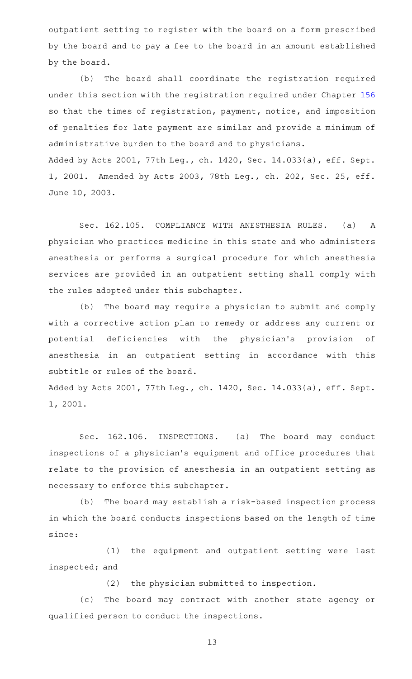outpatient setting to register with the board on a form prescribed by the board and to pay a fee to the board in an amount established by the board.

(b) The board shall coordinate the registration required under this section with the registration required under Chapter [156](http://www.statutes.legis.state.tx.us/GetStatute.aspx?Code=OC&Value=156) so that the times of registration, payment, notice, and imposition of penalties for late payment are similar and provide a minimum of administrative burden to the board and to physicians. Added by Acts 2001, 77th Leg., ch. 1420, Sec. 14.033(a), eff. Sept. 1, 2001. Amended by Acts 2003, 78th Leg., ch. 202, Sec. 25, eff. June 10, 2003.

Sec. 162.105. COMPLIANCE WITH ANESTHESIA RULES. (a) A physician who practices medicine in this state and who administers anesthesia or performs a surgical procedure for which anesthesia services are provided in an outpatient setting shall comply with the rules adopted under this subchapter.

(b) The board may require a physician to submit and comply with a corrective action plan to remedy or address any current or potential deficiencies with the physician's provision of anesthesia in an outpatient setting in accordance with this subtitle or rules of the board.

Added by Acts 2001, 77th Leg., ch. 1420, Sec. 14.033(a), eff. Sept. 1, 2001.

Sec. 162.106. INSPECTIONS. (a) The board may conduct inspections of a physician 's equipment and office procedures that relate to the provision of anesthesia in an outpatient setting as necessary to enforce this subchapter.

(b) The board may establish a risk-based inspection process in which the board conducts inspections based on the length of time since:

(1) the equipment and outpatient setting were last inspected; and

 $(2)$  the physician submitted to inspection.

(c) The board may contract with another state agency or qualified person to conduct the inspections.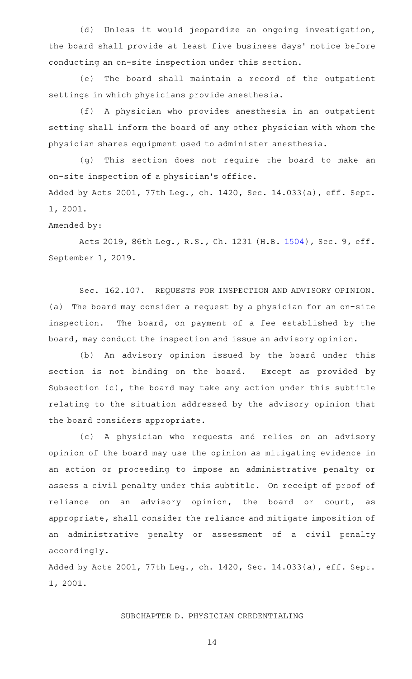(d) Unless it would jeopardize an ongoing investigation, the board shall provide at least five business days' notice before conducting an on-site inspection under this section.

(e) The board shall maintain a record of the outpatient settings in which physicians provide anesthesia.

(f)AAA physician who provides anesthesia in an outpatient setting shall inform the board of any other physician with whom the physician shares equipment used to administer anesthesia.

(g) This section does not require the board to make an on-site inspection of a physician 's office.

Added by Acts 2001, 77th Leg., ch. 1420, Sec. 14.033(a), eff. Sept. 1, 2001.

## Amended by:

Acts 2019, 86th Leg., R.S., Ch. 1231 (H.B. [1504](http://www.legis.state.tx.us/tlodocs/86R/billtext/html/HB01504F.HTM)), Sec. 9, eff. September 1, 2019.

Sec. 162.107. REQUESTS FOR INSPECTION AND ADVISORY OPINION. (a) The board may consider a request by a physician for an on-site inspection. The board, on payment of a fee established by the board, may conduct the inspection and issue an advisory opinion.

(b) An advisory opinion issued by the board under this section is not binding on the board. Except as provided by Subsection (c), the board may take any action under this subtitle relating to the situation addressed by the advisory opinion that the board considers appropriate.

(c)AAA physician who requests and relies on an advisory opinion of the board may use the opinion as mitigating evidence in an action or proceeding to impose an administrative penalty or assess a civil penalty under this subtitle. On receipt of proof of reliance on an advisory opinion, the board or court, as appropriate, shall consider the reliance and mitigate imposition of an administrative penalty or assessment of a civil penalty accordingly.

Added by Acts 2001, 77th Leg., ch. 1420, Sec. 14.033(a), eff. Sept. 1, 2001.

## SUBCHAPTER D. PHYSICIAN CREDENTIALING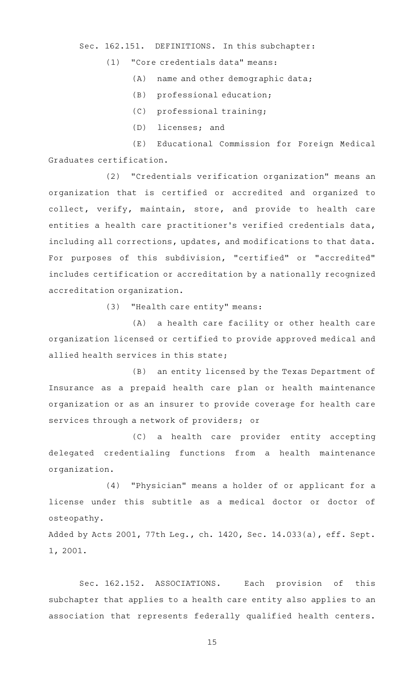#### Sec. 162.151. DEFINITIONS. In this subchapter:

#### (1) "Core credentials data" means:

- (A) name and other demographic data;
- $(B)$  professional education;
- (C) professional training;
- (D) licenses; and

(E) Educational Commission for Foreign Medical Graduates certification.

(2) "Credentials verification organization" means an organization that is certified or accredited and organized to collect, verify, maintain, store, and provide to health care entities a health care practitioner 's verified credentials data, including all corrections, updates, and modifications to that data. For purposes of this subdivision, "certified" or "accredited" includes certification or accreditation by a nationally recognized accreditation organization.

(3) "Health care entity" means:

(A) a health care facility or other health care organization licensed or certified to provide approved medical and allied health services in this state;

(B) an entity licensed by the Texas Department of Insurance as a prepaid health care plan or health maintenance organization or as an insurer to provide coverage for health care services through a network of providers; or

(C) a health care provider entity accepting delegated credentialing functions from a health maintenance organization.

 $(4)$  "Physician" means a holder of or applicant for a license under this subtitle as a medical doctor or doctor of osteopathy.

Added by Acts 2001, 77th Leg., ch. 1420, Sec. 14.033(a), eff. Sept. 1, 2001.

Sec. 162.152. ASSOCIATIONS. Each provision of this subchapter that applies to a health care entity also applies to an association that represents federally qualified health centers.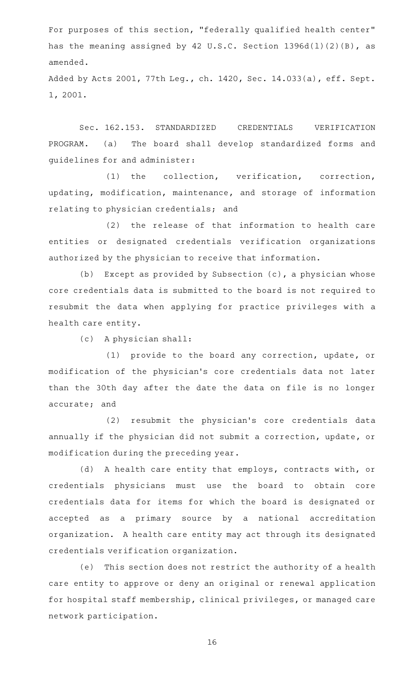For purposes of this section, "federally qualified health center" has the meaning assigned by 42 U.S.C. Section 1396d(l)(2)(B), as amended.

Added by Acts 2001, 77th Leg., ch. 1420, Sec. 14.033(a), eff. Sept. 1, 2001.

Sec. 162.153. STANDARDIZED CREDENTIALS VERIFICATION PROGRAM. (a) The board shall develop standardized forms and guidelines for and administer:

(1) the collection, verification, correction, updating, modification, maintenance, and storage of information relating to physician credentials; and

(2) the release of that information to health care entities or designated credentials verification organizations authorized by the physician to receive that information.

(b) Except as provided by Subsection  $(c)$ , a physician whose core credentials data is submitted to the board is not required to resubmit the data when applying for practice privileges with a health care entity.

 $(c)$  A physician shall:

(1) provide to the board any correction, update, or modification of the physician 's core credentials data not later than the 30th day after the date the data on file is no longer accurate; and

(2) resubmit the physician's core credentials data annually if the physician did not submit a correction, update, or modification during the preceding year.

(d) A health care entity that employs, contracts with, or credentials physicians must use the board to obtain core credentials data for items for which the board is designated or accepted as a primary source by a national accreditation organization. A health care entity may act through its designated credentials verification organization.

(e) This section does not restrict the authority of a health care entity to approve or deny an original or renewal application for hospital staff membership, clinical privileges, or managed care network participation.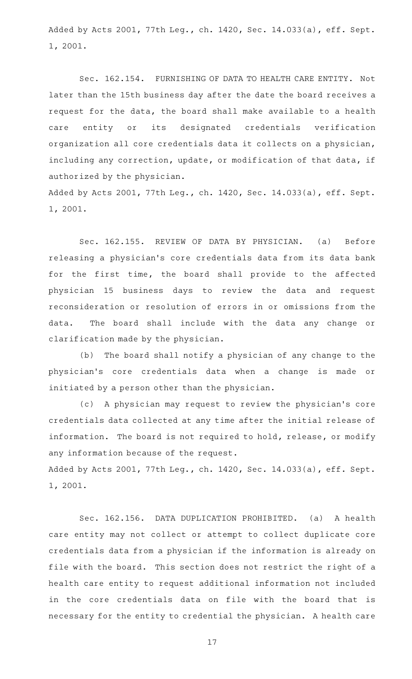Added by Acts 2001, 77th Leg., ch. 1420, Sec. 14.033(a), eff. Sept. 1, 2001.

Sec. 162.154. FURNISHING OF DATA TO HEALTH CARE ENTITY. Not later than the 15th business day after the date the board receives a request for the data, the board shall make available to a health care entity or its designated credentials verification organization all core credentials data it collects on a physician, including any correction, update, or modification of that data, if authorized by the physician.

Added by Acts 2001, 77th Leg., ch. 1420, Sec. 14.033(a), eff. Sept. 1, 2001.

Sec. 162.155. REVIEW OF DATA BY PHYSICIAN. (a) Before releasing a physician 's core credentials data from its data bank for the first time, the board shall provide to the affected physician 15 business days to review the data and request reconsideration or resolution of errors in or omissions from the data. The board shall include with the data any change or clarification made by the physician.

(b) The board shall notify a physician of any change to the physician 's core credentials data when a change is made or initiated by a person other than the physician.

(c)AAA physician may request to review the physician 's core credentials data collected at any time after the initial release of information. The board is not required to hold, release, or modify any information because of the request.

Added by Acts 2001, 77th Leg., ch. 1420, Sec. 14.033(a), eff. Sept. 1, 2001.

Sec. 162.156. DATA DUPLICATION PROHIBITED. (a) A health care entity may not collect or attempt to collect duplicate core credentials data from a physician if the information is already on file with the board. This section does not restrict the right of a health care entity to request additional information not included in the core credentials data on file with the board that is necessary for the entity to credential the physician. A health care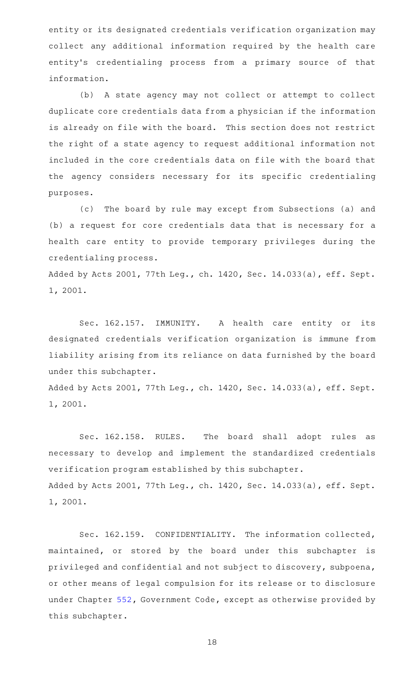entity or its designated credentials verification organization may collect any additional information required by the health care entity's credentialing process from a primary source of that information.

(b) A state agency may not collect or attempt to collect duplicate core credentials data from a physician if the information is already on file with the board. This section does not restrict the right of a state agency to request additional information not included in the core credentials data on file with the board that the agency considers necessary for its specific credentialing purposes.

(c) The board by rule may except from Subsections (a) and (b) a request for core credentials data that is necessary for a health care entity to provide temporary privileges during the credentialing process.

Added by Acts 2001, 77th Leg., ch. 1420, Sec. 14.033(a), eff. Sept. 1, 2001.

Sec. 162.157. IMMUNITY. A health care entity or its designated credentials verification organization is immune from liability arising from its reliance on data furnished by the board under this subchapter.

Added by Acts 2001, 77th Leg., ch. 1420, Sec. 14.033(a), eff. Sept. 1, 2001.

Sec. 162.158. RULES. The board shall adopt rules as necessary to develop and implement the standardized credentials verification program established by this subchapter. Added by Acts 2001, 77th Leg., ch. 1420, Sec. 14.033(a), eff. Sept. 1, 2001.

Sec. 162.159. CONFIDENTIALITY. The information collected, maintained, or stored by the board under this subchapter is privileged and confidential and not subject to discovery, subpoena, or other means of legal compulsion for its release or to disclosure under Chapter [552,](http://www.statutes.legis.state.tx.us/GetStatute.aspx?Code=GV&Value=552) Government Code, except as otherwise provided by this subchapter.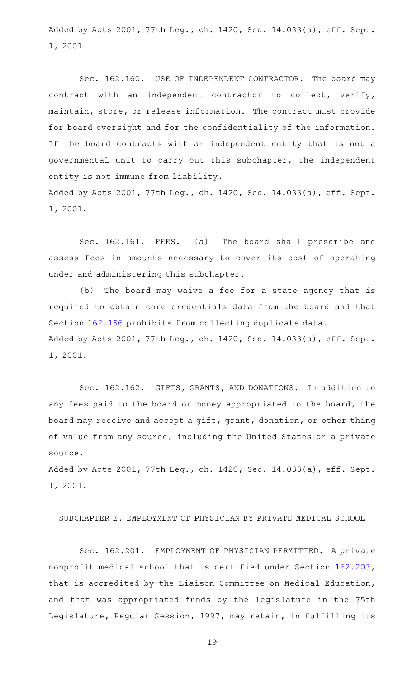Added by Acts 2001, 77th Leg., ch. 1420, Sec. 14.033(a), eff. Sept. 1, 2001.

Sec. 162.160. USE OF INDEPENDENT CONTRACTOR. The board may contract with an independent contractor to collect, verify, maintain, store, or release information. The contract must provide for board oversight and for the confidentiality of the information. If the board contracts with an independent entity that is not a governmental unit to carry out this subchapter, the independent entity is not immune from liability. Added by Acts 2001, 77th Leg., ch. 1420, Sec. 14.033(a), eff. Sept.

1, 2001.

Sec. 162.161. FEES. (a) The board shall prescribe and assess fees in amounts necessary to cover its cost of operating under and administering this subchapter.

(b) The board may waive a fee for a state agency that is required to obtain core credentials data from the board and that Section [162.156](http://www.statutes.legis.state.tx.us/GetStatute.aspx?Code=OC&Value=162.156) prohibits from collecting duplicate data. Added by Acts 2001, 77th Leg., ch. 1420, Sec. 14.033(a), eff. Sept. 1, 2001.

Sec. 162.162. GIFTS, GRANTS, AND DONATIONS. In addition to any fees paid to the board or money appropriated to the board, the board may receive and accept a gift, grant, donation, or other thing of value from any source, including the United States or a private source.

Added by Acts 2001, 77th Leg., ch. 1420, Sec. 14.033(a), eff. Sept. 1, 2001.

SUBCHAPTER E. EMPLOYMENT OF PHYSICIAN BY PRIVATE MEDICAL SCHOOL

Sec. 162.201. EMPLOYMENT OF PHYSICIAN PERMITTED. A private nonprofit medical school that is certified under Section [162.203](http://www.statutes.legis.state.tx.us/GetStatute.aspx?Code=OC&Value=162.203), that is accredited by the Liaison Committee on Medical Education, and that was appropriated funds by the legislature in the 75th Legislature, Regular Session, 1997, may retain, in fulfilling its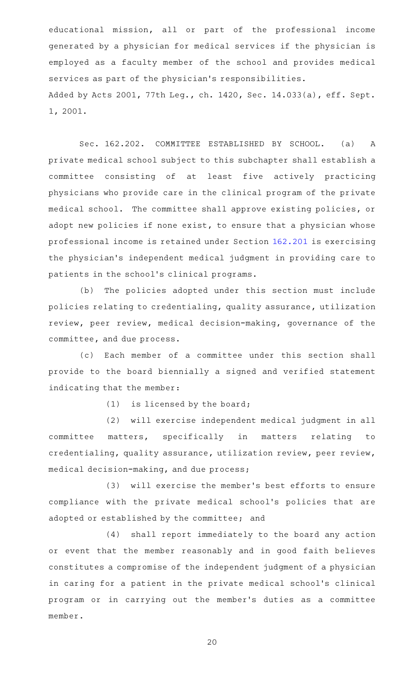educational mission, all or part of the professional income generated by a physician for medical services if the physician is employed as a faculty member of the school and provides medical services as part of the physician 's responsibilities. Added by Acts 2001, 77th Leg., ch. 1420, Sec. 14.033(a), eff. Sept. 1, 2001.

Sec. 162.202. COMMITTEE ESTABLISHED BY SCHOOL. (a) A private medical school subject to this subchapter shall establish a committee consisting of at least five actively practicing physicians who provide care in the clinical program of the private medical school. The committee shall approve existing policies, or adopt new policies if none exist, to ensure that a physician whose professional income is retained under Section [162.201](http://www.statutes.legis.state.tx.us/GetStatute.aspx?Code=OC&Value=162.201) is exercising the physician 's independent medical judgment in providing care to patients in the school's clinical programs.

(b) The policies adopted under this section must include policies relating to credentialing, quality assurance, utilization review, peer review, medical decision-making, governance of the committee, and due process.

(c) Each member of a committee under this section shall provide to the board biennially a signed and verified statement indicating that the member:

 $(1)$  is licensed by the board;

(2) will exercise independent medical judgment in all committee matters, specifically in matters relating to credentialing, quality assurance, utilization review, peer review, medical decision-making, and due process;

(3) will exercise the member's best efforts to ensure compliance with the private medical school 's policies that are adopted or established by the committee; and

(4) shall report immediately to the board any action or event that the member reasonably and in good faith believes constitutes a compromise of the independent judgment of a physician in caring for a patient in the private medical school's clinical program or in carrying out the member 's duties as a committee member.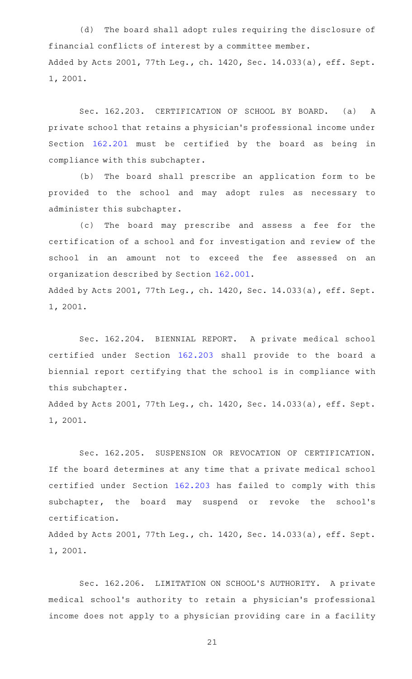(d) The board shall adopt rules requiring the disclosure of financial conflicts of interest by a committee member. Added by Acts 2001, 77th Leg., ch. 1420, Sec. 14.033(a), eff. Sept. 1, 2001.

Sec. 162.203. CERTIFICATION OF SCHOOL BY BOARD. (a) A private school that retains a physician 's professional income under Section [162.201](http://www.statutes.legis.state.tx.us/GetStatute.aspx?Code=OC&Value=162.201) must be certified by the board as being in compliance with this subchapter.

(b) The board shall prescribe an application form to be provided to the school and may adopt rules as necessary to administer this subchapter.

(c) The board may prescribe and assess a fee for the certification of a school and for investigation and review of the school in an amount not to exceed the fee assessed on an organization described by Section [162.001](http://www.statutes.legis.state.tx.us/GetStatute.aspx?Code=OC&Value=162.001). Added by Acts 2001, 77th Leg., ch. 1420, Sec. 14.033(a), eff. Sept.

1, 2001.

Sec. 162.204. BIENNIAL REPORT. A private medical school certified under Section [162.203](http://www.statutes.legis.state.tx.us/GetStatute.aspx?Code=OC&Value=162.203) shall provide to the board a biennial report certifying that the school is in compliance with this subchapter.

Added by Acts 2001, 77th Leg., ch. 1420, Sec. 14.033(a), eff. Sept. 1, 2001.

Sec. 162.205. SUSPENSION OR REVOCATION OF CERTIFICATION. If the board determines at any time that a private medical school certified under Section [162.203](http://www.statutes.legis.state.tx.us/GetStatute.aspx?Code=OC&Value=162.203) has failed to comply with this subchapter, the board may suspend or revoke the school's certification.

Added by Acts 2001, 77th Leg., ch. 1420, Sec. 14.033(a), eff. Sept. 1, 2001.

Sec. 162.206. LIMITATION ON SCHOOL'S AUTHORITY. A private medical school 's authority to retain a physician 's professional income does not apply to a physician providing care in a facility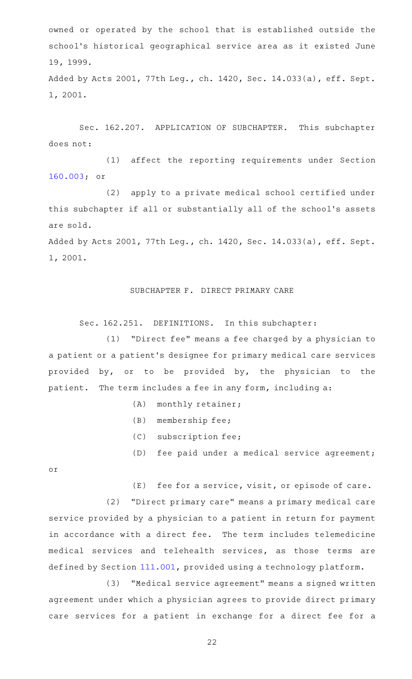owned or operated by the school that is established outside the school's historical geographical service area as it existed June 19, 1999.

Added by Acts 2001, 77th Leg., ch. 1420, Sec. 14.033(a), eff. Sept. 1, 2001.

Sec. 162.207. APPLICATION OF SUBCHAPTER. This subchapter does not:

(1) affect the reporting requirements under Section [160.003;](http://www.statutes.legis.state.tx.us/GetStatute.aspx?Code=OC&Value=160.003) or

(2) apply to a private medical school certified under this subchapter if all or substantially all of the school 's assets are sold.

Added by Acts 2001, 77th Leg., ch. 1420, Sec. 14.033(a), eff. Sept. 1, 2001.

## SUBCHAPTER F. DIRECT PRIMARY CARE

Sec. 162.251. DEFINITIONS. In this subchapter:

 $(1)$  "Direct fee" means a fee charged by a physician to a patient or a patient 's designee for primary medical care services provided by, or to be provided by, the physician to the patient. The term includes a fee in any form, including a:

- $(A)$  monthly retainer;
- (B) membership fee;
- (C) subscription fee;
- (D) fee paid under a medical service agreement;

or

 $(E)$  fee for a service, visit, or episode of care.

(2) "Direct primary care" means a primary medical care service provided by a physician to a patient in return for payment in accordance with a direct fee. The term includes telemedicine medical services and telehealth services, as those terms are defined by Section [111.001,](http://www.statutes.legis.state.tx.us/GetStatute.aspx?Code=OC&Value=111.001) provided using a technology platform.

(3) "Medical service agreement" means a signed written agreement under which a physician agrees to provide direct primary care services for a patient in exchange for a direct fee for a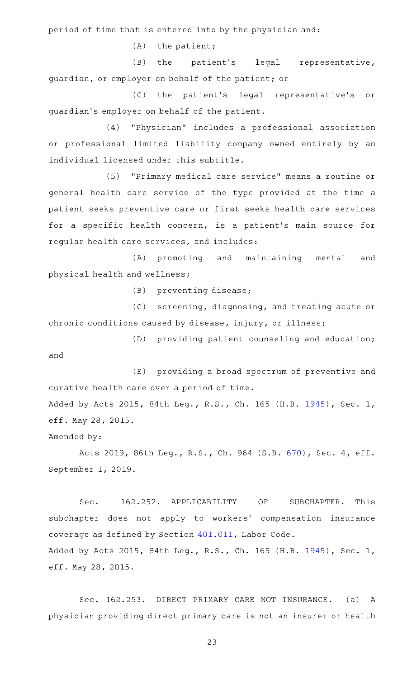period of time that is entered into by the physician and:

 $(A)$  the patient;

(B) the patient's legal representative, guardian, or employer on behalf of the patient; or

(C) the patient's legal representative's or guardian 's employer on behalf of the patient.

(4) "Physician" includes a professional association or professional limited liability company owned entirely by an individual licensed under this subtitle.

(5) "Primary medical care service" means a routine or general health care service of the type provided at the time a patient seeks preventive care or first seeks health care services for a specific health concern, is a patient's main source for regular health care services, and includes:

(A) promoting and maintaining mental and physical health and wellness;

(B) preventing disease;

(C) screening, diagnosing, and treating acute or chronic conditions caused by disease, injury, or illness;

(D) providing patient counseling and education; and

(E) providing a broad spectrum of preventive and curative health care over a period of time. Added by Acts 2015, 84th Leg., R.S., Ch. 165 (H.B. [1945](http://www.legis.state.tx.us/tlodocs/84R/billtext/html/HB01945F.HTM)), Sec. 1,

eff. May 28, 2015.

Amended by:

Acts 2019, 86th Leg., R.S., Ch. 964 (S.B. [670](http://www.legis.state.tx.us/tlodocs/86R/billtext/html/SB00670F.HTM)), Sec. 4, eff. September 1, 2019.

Sec. 162.252. APPLICABILITY OF SUBCHAPTER. This subchapter does not apply to workers' compensation insurance coverage as defined by Section [401.011](http://www.statutes.legis.state.tx.us/GetStatute.aspx?Code=LA&Value=401.011), Labor Code. Added by Acts 2015, 84th Leg., R.S., Ch. 165 (H.B. [1945](http://www.legis.state.tx.us/tlodocs/84R/billtext/html/HB01945F.HTM)), Sec. 1, eff. May 28, 2015.

Sec. 162.253. DIRECT PRIMARY CARE NOT INSURANCE. (a) A physician providing direct primary care is not an insurer or health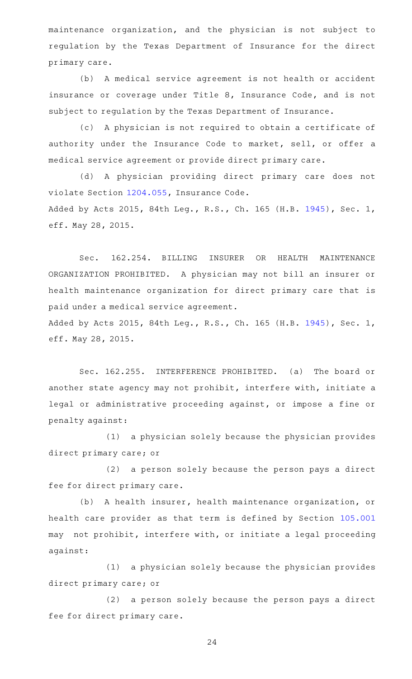maintenance organization, and the physician is not subject to regulation by the Texas Department of Insurance for the direct primary care.

(b) A medical service agreement is not health or accident insurance or coverage under Title 8, Insurance Code, and is not subject to regulation by the Texas Department of Insurance.

(c)AAA physician is not required to obtain a certificate of authority under the Insurance Code to market, sell, or offer a medical service agreement or provide direct primary care.

(d)AAA physician providing direct primary care does not violate Section [1204.055](http://www.statutes.legis.state.tx.us/GetStatute.aspx?Code=IN&Value=1204.055), Insurance Code. Added by Acts 2015, 84th Leg., R.S., Ch. 165 (H.B. [1945](http://www.legis.state.tx.us/tlodocs/84R/billtext/html/HB01945F.HTM)), Sec. 1, eff. May 28, 2015.

Sec. 162.254. BILLING INSURER OR HEALTH MAINTENANCE ORGANIZATION PROHIBITED. A physician may not bill an insurer or health maintenance organization for direct primary care that is paid under a medical service agreement.

Added by Acts 2015, 84th Leg., R.S., Ch. 165 (H.B. [1945](http://www.legis.state.tx.us/tlodocs/84R/billtext/html/HB01945F.HTM)), Sec. 1, eff. May 28, 2015.

Sec. 162.255. INTERFERENCE PROHIBITED. (a) The board or another state agency may not prohibit, interfere with, initiate a legal or administrative proceeding against, or impose a fine or penalty against:

(1) a physician solely because the physician provides direct primary care; or

(2) a person solely because the person pays a direct fee for direct primary care.

(b) A health insurer, health maintenance organization, or health care provider as that term is defined by Section [105.001](http://www.statutes.legis.state.tx.us/GetStatute.aspx?Code=OC&Value=105.001) may not prohibit, interfere with, or initiate a legal proceeding against:

(1) a physician solely because the physician provides direct primary care; or

(2) a person solely because the person pays a direct fee for direct primary care.